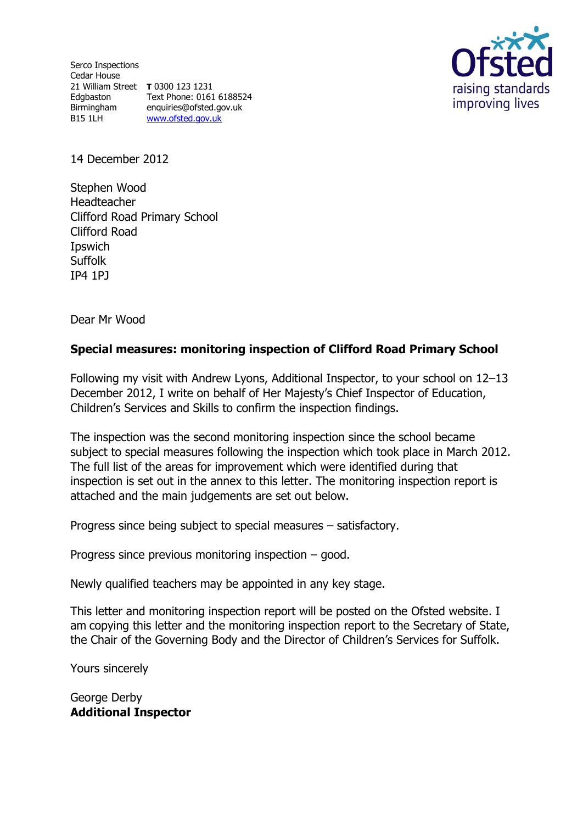Serco Inspections Cedar House 21 William Street **T** 0300 123 1231 Edgbaston Birmingham<br>B15.1LH B15 1LH

Text Phone: 0161 6188524 enquiries@ofsted.gov.uk [www.ofsted.gov.uk](http://www.ofsted.gov.uk/)



14 December 2012

Stephen Wood Headteacher Clifford Road Primary School Clifford Road Ipswich **Suffolk** IP4 1PJ

Dear Mr Wood

# **Special measures: monitoring inspection of Clifford Road Primary School**

Following my visit with Andrew Lyons, Additional Inspector, to your school on 12–13 December 2012, I write on behalf of Her Majesty's Chief Inspector of Education, Children's Services and Skills to confirm the inspection findings.

The inspection was the second monitoring inspection since the school became subject to special measures following the inspection which took place in March 2012. The full list of the areas for improvement which were identified during that inspection is set out in the annex to this letter. The monitoring inspection report is attached and the main judgements are set out below.

Progress since being subject to special measures – satisfactory.

Progress since previous monitoring inspection – good.

Newly qualified teachers may be appointed in any key stage.

This letter and monitoring inspection report will be posted on the Ofsted website. I am copying this letter and the monitoring inspection report to the Secretary of State, the Chair of the Governing Body and the Director of Children's Services for Suffolk.

Yours sincerely

George Derby **Additional Inspector**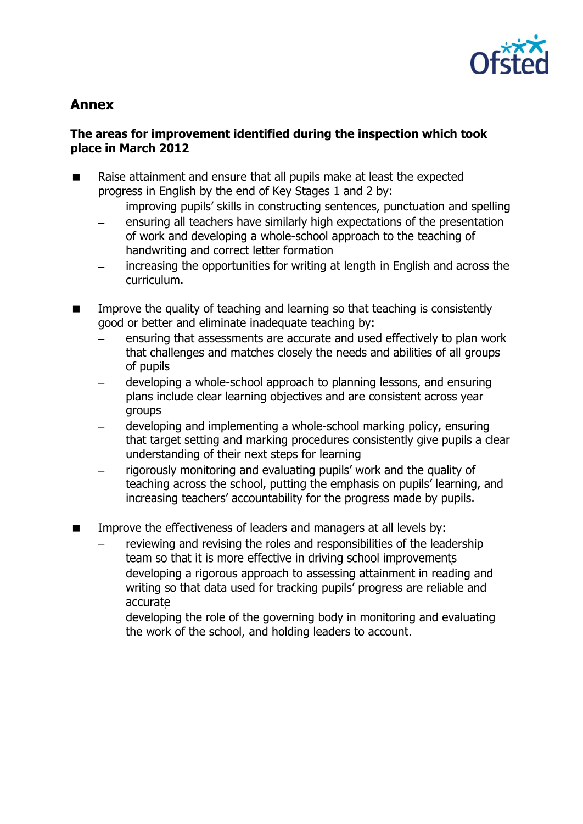

# **Annex**

### **The areas for improvement identified during the inspection which took place in March 2012**

- Raise attainment and ensure that all pupils make at least the expected progress in English by the end of Key Stages 1 and 2 by:
	- improving pupils' skills in constructing sentences, punctuation and spelling
	- ensuring all teachers have similarly high expectations of the presentation  $\frac{1}{2}$ of work and developing a whole-school approach to the teaching of handwriting and correct letter formation
	- increasing the opportunities for writing at length in English and across the  $\frac{1}{2}$ curriculum.
- **IMPROVE THE GUALACT UP THE UP THE VALUATION IS CONSTRUMENT IN THE UP THE UP THE INCOCOLLY** good or better and eliminate inadequate teaching by:
	- ensuring that assessments are accurate and used effectively to plan work that challenges and matches closely the needs and abilities of all groups of pupils
	- developing a whole-school approach to planning lessons, and ensuring plans include clear learning objectives and are consistent across year groups
	- developing and implementing a whole-school marking policy, ensuring that target setting and marking procedures consistently give pupils a clear understanding of their next steps for learning
	- rigorously monitoring and evaluating pupils' work and the quality of teaching across the school, putting the emphasis on pupils' learning, and increasing teachers' accountability for the progress made by pupils.
- **IMPROVE THE EFFECT IMPROVE THE EFFECT VERGO** is a last managers at all levels by:
	- reviewing and revising the roles and responsibilities of the leadership team so that it is more effective in driving school improvements
	- developing a rigorous approach to assessing attainment in reading and  $\equiv$ writing so that data used for tracking pupils' progress are reliable and accurate
	- developing the role of the governing body in monitoring and evaluating  $\equiv$ the work of the school, and holding leaders to account.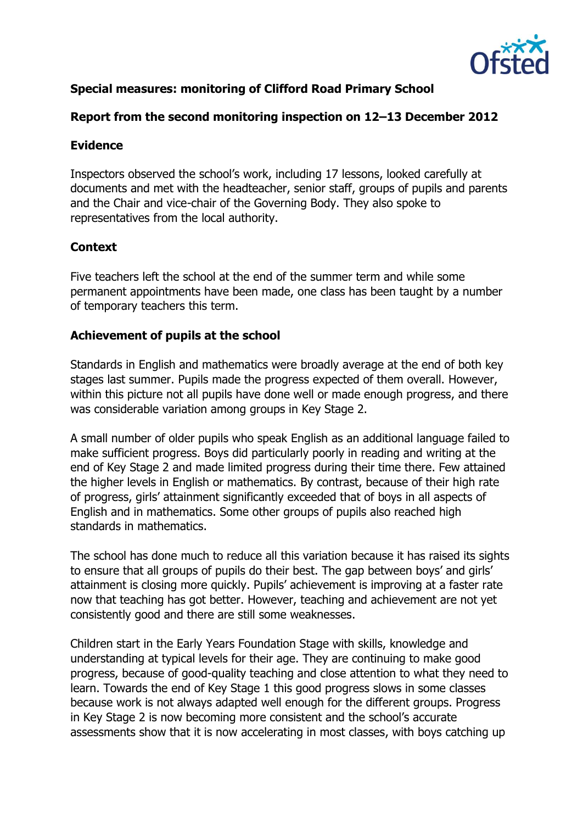

# **Special measures: monitoring of Clifford Road Primary School**

### **Report from the second monitoring inspection on 12–13 December 2012**

#### **Evidence**

Inspectors observed the school's work, including 17 lessons, looked carefully at documents and met with the headteacher, senior staff, groups of pupils and parents and the Chair and vice-chair of the Governing Body. They also spoke to representatives from the local authority.

# **Context**

Five teachers left the school at the end of the summer term and while some permanent appointments have been made, one class has been taught by a number of temporary teachers this term.

# **Achievement of pupils at the school**

Standards in English and mathematics were broadly average at the end of both key stages last summer. Pupils made the progress expected of them overall. However, within this picture not all pupils have done well or made enough progress, and there was considerable variation among groups in Key Stage 2.

A small number of older pupils who speak English as an additional language failed to make sufficient progress. Boys did particularly poorly in reading and writing at the end of Key Stage 2 and made limited progress during their time there. Few attained the higher levels in English or mathematics. By contrast, because of their high rate of progress, girls' attainment significantly exceeded that of boys in all aspects of English and in mathematics. Some other groups of pupils also reached high standards in mathematics.

The school has done much to reduce all this variation because it has raised its sights to ensure that all groups of pupils do their best. The gap between boys' and girls' attainment is closing more quickly. Pupils' achievement is improving at a faster rate now that teaching has got better. However, teaching and achievement are not yet consistently good and there are still some weaknesses.

Children start in the Early Years Foundation Stage with skills, knowledge and understanding at typical levels for their age. They are continuing to make good progress, because of good-quality teaching and close attention to what they need to learn. Towards the end of Key Stage 1 this good progress slows in some classes because work is not always adapted well enough for the different groups. Progress in Key Stage 2 is now becoming more consistent and the school's accurate assessments show that it is now accelerating in most classes, with boys catching up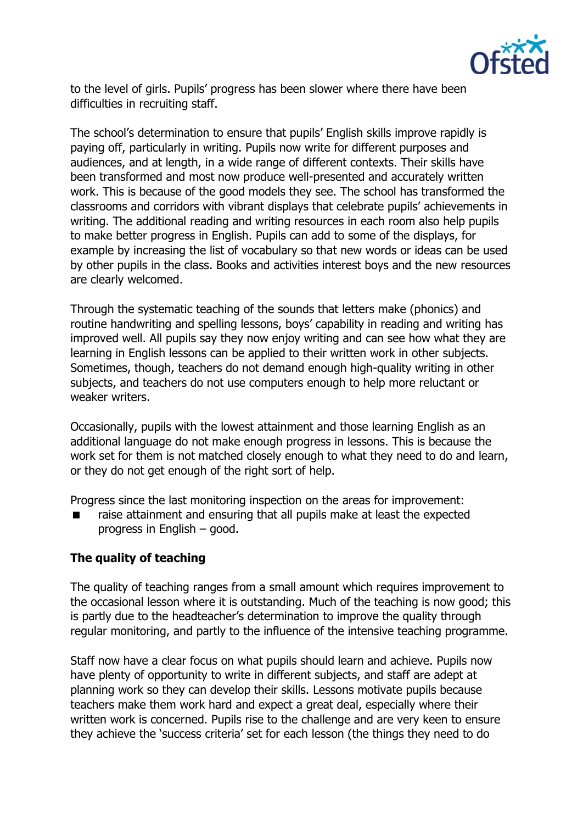

to the level of girls. Pupils' progress has been slower where there have been difficulties in recruiting staff.

The school's determination to ensure that pupils' English skills improve rapidly is paying off, particularly in writing. Pupils now write for different purposes and audiences, and at length, in a wide range of different contexts. Their skills have been transformed and most now produce well-presented and accurately written work. This is because of the good models they see. The school has transformed the classrooms and corridors with vibrant displays that celebrate pupils' achievements in writing. The additional reading and writing resources in each room also help pupils to make better progress in English. Pupils can add to some of the displays, for example by increasing the list of vocabulary so that new words or ideas can be used by other pupils in the class. Books and activities interest boys and the new resources are clearly welcomed.

Through the systematic teaching of the sounds that letters make (phonics) and routine handwriting and spelling lessons, boys' capability in reading and writing has improved well. All pupils say they now enjoy writing and can see how what they are learning in English lessons can be applied to their written work in other subjects. Sometimes, though, teachers do not demand enough high-quality writing in other subjects, and teachers do not use computers enough to help more reluctant or weaker writers.

Occasionally, pupils with the lowest attainment and those learning English as an additional language do not make enough progress in lessons. This is because the work set for them is not matched closely enough to what they need to do and learn, or they do not get enough of the right sort of help.

Progress since the last monitoring inspection on the areas for improvement:

 raise attainment and ensuring that all pupils make at least the expected progress in English – good.

# **The quality of teaching**

The quality of teaching ranges from a small amount which requires improvement to the occasional lesson where it is outstanding. Much of the teaching is now good; this is partly due to the headteacher's determination to improve the quality through regular monitoring, and partly to the influence of the intensive teaching programme.

Staff now have a clear focus on what pupils should learn and achieve. Pupils now have plenty of opportunity to write in different subjects, and staff are adept at planning work so they can develop their skills. Lessons motivate pupils because teachers make them work hard and expect a great deal, especially where their written work is concerned. Pupils rise to the challenge and are very keen to ensure they achieve the 'success criteria' set for each lesson (the things they need to do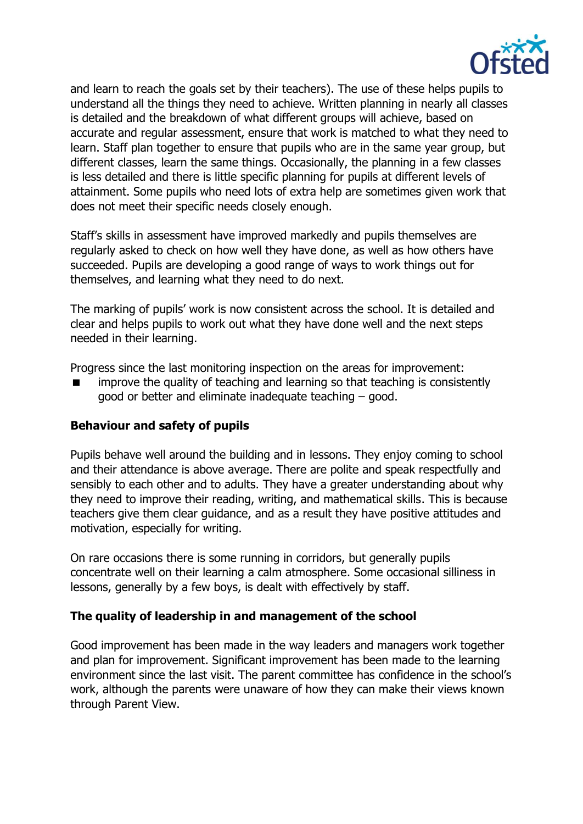

and learn to reach the goals set by their teachers). The use of these helps pupils to understand all the things they need to achieve. Written planning in nearly all classes is detailed and the breakdown of what different groups will achieve, based on accurate and regular assessment, ensure that work is matched to what they need to learn. Staff plan together to ensure that pupils who are in the same year group, but different classes, learn the same things. Occasionally, the planning in a few classes is less detailed and there is little specific planning for pupils at different levels of attainment. Some pupils who need lots of extra help are sometimes given work that does not meet their specific needs closely enough.

Staff's skills in assessment have improved markedly and pupils themselves are regularly asked to check on how well they have done, as well as how others have succeeded. Pupils are developing a good range of ways to work things out for themselves, and learning what they need to do next.

The marking of pupils' work is now consistent across the school. It is detailed and clear and helps pupils to work out what they have done well and the next steps needed in their learning.

Progress since the last monitoring inspection on the areas for improvement:

 improve the quality of teaching and learning so that teaching is consistently good or better and eliminate inadequate teaching – good.

#### **Behaviour and safety of pupils**

Pupils behave well around the building and in lessons. They enjoy coming to school and their attendance is above average. There are polite and speak respectfully and sensibly to each other and to adults. They have a greater understanding about why they need to improve their reading, writing, and mathematical skills. This is because teachers give them clear guidance, and as a result they have positive attitudes and motivation, especially for writing.

On rare occasions there is some running in corridors, but generally pupils concentrate well on their learning a calm atmosphere. Some occasional silliness in lessons, generally by a few boys, is dealt with effectively by staff.

#### **The quality of leadership in and management of the school**

Good improvement has been made in the way leaders and managers work together and plan for improvement. Significant improvement has been made to the learning environment since the last visit. The parent committee has confidence in the school's work, although the parents were unaware of how they can make their views known through Parent View.